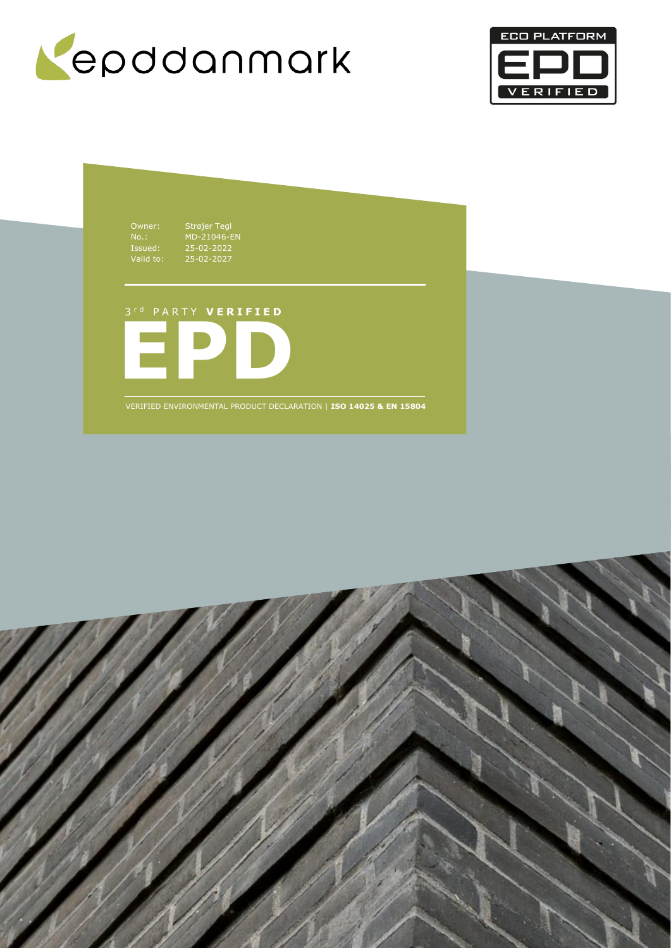



Owner: Strøjer Tegl No.: MD-21046-EN Issued: 25-02-2022 Valid to: 25-02-2027

3 r d P A R T Y **V E R I F I E D**



VERIFIED ENVIRONMENTAL PRODUCT DECLARATION | **ISO 14025 & EN 15804**

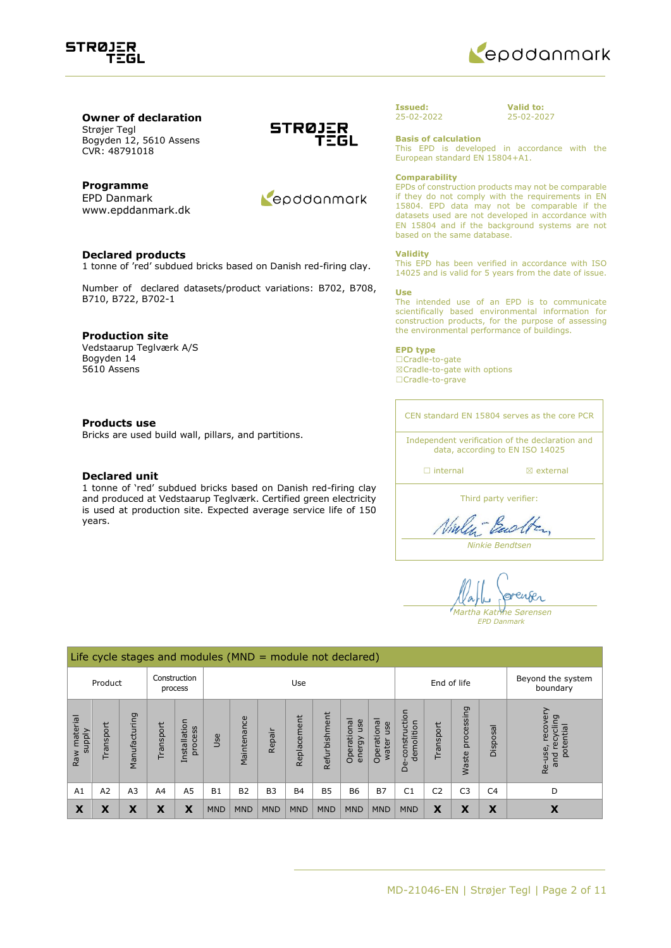



### **Owner of declaration** Strøjer Tegl Bogyden 12, 5610 Assens

CVR: 48791018

## **Programme**

EPD Danmark www.epddanmark.dk

### **Declared products**

1 tonne of 'red' subdued bricks based on Danish red-firing clay.

Number of declared datasets/product variations: B702, B708, B710, B722, B702-1

### **Production site**

Vedstaarup Teglværk A/S Bogyden 14 5610 Assens

### **Products use**

Bricks are used build wall, pillars, and partitions.

### **Declared unit**

1 tonne of 'red' subdued bricks based on Danish red-firing clay and produced at Vedstaarup Teglværk. Certified green electricity is used at production site. Expected average service life of 150 years.





### **Issued:** 25-02-2022

**Valid to:** 25-02-2027

**Basis of calculation**

This EPD is developed in accordance with the European standard EN 15804+A1.

### **Comparability**

EPDs of construction products may not be comparable if they do not comply with the requirements in EN 15804. EPD data may not be comparable if the datasets used are not developed in accordance with EN 15804 and if the background systems are not based on the same database.

### **Validity**

This EPD has been verified in accordance with ISO 14025 and is valid for 5 years from the date of issue.

#### **Use**

The intended use of an EPD is to communicate scientifically based environmental information for construction products, for the purpose of assessing the environmental performance of buildings.

### **EPD type**

☐Cradle-to-gate ☒Cradle-to-gate with options ☐Cradle-to-grave

CEN standard EN 15804 serves as the core PCR

Independent verification of the declaration and data, according to EN ISO 14025

□ internal **a** external

Third party verifier:

Ninley-Backton

*Ninkie Bendtsen*

renser *Martha Katrine Sørensen EPD Danmark*

|                                    | Life cycle stages and modules ( $MND =$ module not declared) |                |          |                             |            |                |                |             |               |                              |                             |                                 |                |                     |                |                                                      |
|------------------------------------|--------------------------------------------------------------|----------------|----------|-----------------------------|------------|----------------|----------------|-------------|---------------|------------------------------|-----------------------------|---------------------------------|----------------|---------------------|----------------|------------------------------------------------------|
| Construction<br>Product<br>process |                                                              |                |          | Use                         |            |                |                |             | End of life   |                              |                             | Beyond the system<br>boundary   |                |                     |                |                                                      |
| material<br><b>Alddns</b><br>Raw   | ransport                                                     | Manufacturing  | ransport | Installation<br>cess<br>pro | Use        | Maintenance    | Repair         | Replacement | Refurbishment | Operational<br>use<br>energy | Operational<br>use<br>water | construction<br>demolition<br>മ | Transport      | processing<br>Waste | Disposal       | recovery<br>recycling<br>potential<br>Re-use,<br>pue |
| A1                                 | A2                                                           | A <sub>3</sub> | A4       | A <sub>5</sub>              | <b>B1</b>  | B <sub>2</sub> | B <sub>3</sub> | <b>B4</b>   | <b>B5</b>     | <b>B6</b>                    | <b>B7</b>                   | C <sub>1</sub>                  | C <sub>2</sub> | C <sub>3</sub>      | C <sub>4</sub> | D                                                    |
| X                                  | Х                                                            | χ              | X        | X                           | <b>MND</b> | <b>MND</b>     | <b>MND</b>     | <b>MND</b>  | <b>MND</b>    | <b>MND</b>                   | <b>MND</b>                  | <b>MND</b>                      | X              | X                   | X              | Х                                                    |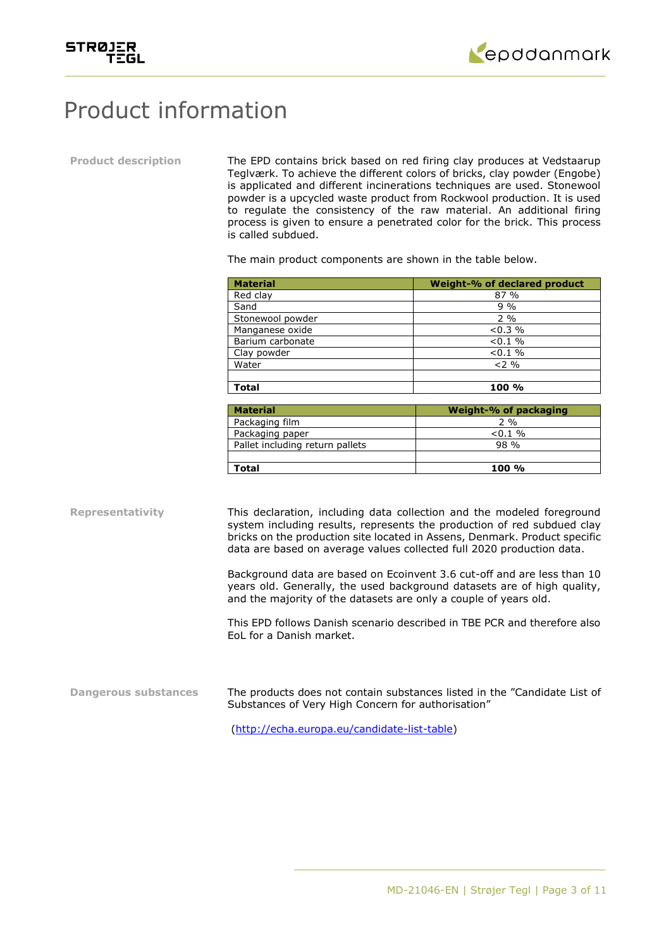



# Product information

**Product description** The EPD contains brick based on red firing clay produces at Vedstaarup Teglværk. To achieve the different colors of bricks, clay powder (Engobe) is applicated and different incinerations techniques are used. Stonewool powder is a upcycled waste product from Rockwool production. It is used to regulate the consistency of the raw material. An additional firing process is given to ensure a penetrated color for the brick. This process is called subdued.

The main product components are shown in the table below.

| <b>Material</b>  | Weight-% of declared product |
|------------------|------------------------------|
| Red clay         | 87 %                         |
| Sand             | $9\%$                        |
| Stonewool powder | $2\%$                        |
| Manganese oxide  | $< 0.3 \%$                   |
| Barium carbonate | $< 0.1 \%$                   |
| Clay powder      | $< 0.1 \%$                   |
| Water            | $2\%$                        |
|                  |                              |
| <b>Total</b>     | $100 \%$                     |

| <b>Material</b>                 | Weight-% of packaging |
|---------------------------------|-----------------------|
| Packaging film                  | $2\%$                 |
| Packaging paper                 | $< 0.1 \%$            |
| Pallet including return pallets | 98 %                  |
|                                 |                       |
| Total                           | $100 \%$              |

**Representativity** This declaration, including data collection and the modeled foreground system including results, represents the production of red subdued clay bricks on the production site located in Assens, Denmark. Product specific data are based on average values collected full 2020 production data.

> Background data are based on Ecoinvent 3.6 cut-off and are less than 10 years old. Generally, the used background datasets are of high quality, and the majority of the datasets are only a couple of years old.

> This EPD follows Danish scenario described in TBE PCR and therefore also EoL for a Danish market.

**Dangerous substances** The products does not contain substances listed in the "Candidate List of Substances of Very High Concern for authorisation"

[\(http://echa.europa.eu/candidate-list-table\)](http://echa.europa.eu/candidate-list-table)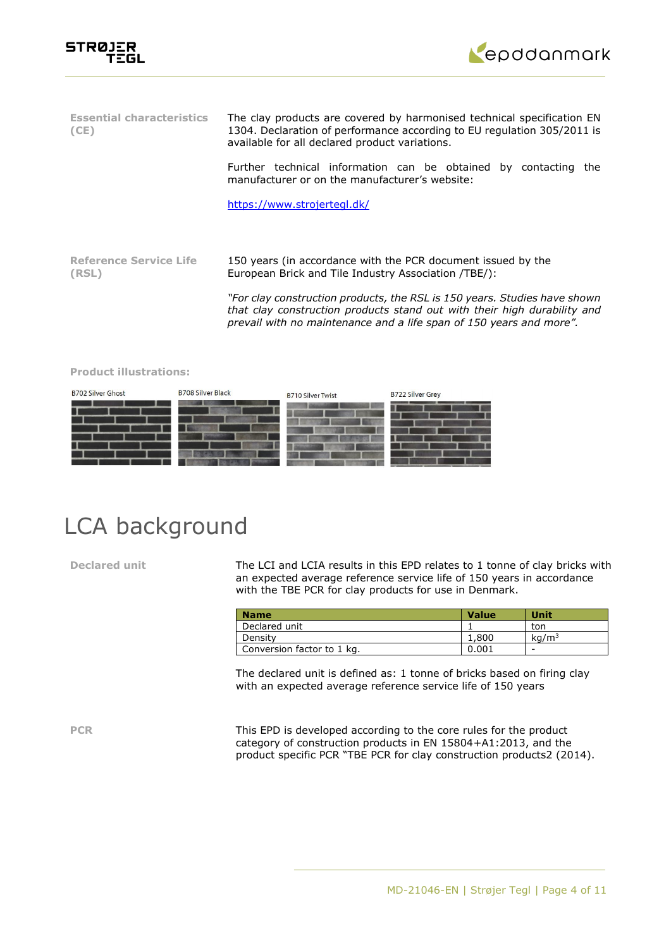



| <b>Essential characteristics</b><br>(CE) | The clay products are covered by harmonised technical specification EN<br>1304. Declaration of performance according to EU regulation 305/2011 is<br>available for all declared product variations.                          |  |  |  |  |  |  |  |
|------------------------------------------|------------------------------------------------------------------------------------------------------------------------------------------------------------------------------------------------------------------------------|--|--|--|--|--|--|--|
|                                          | Further technical information can be obtained by contacting the<br>manufacturer or on the manufacturer's website:                                                                                                            |  |  |  |  |  |  |  |
|                                          | https://www.strojertegl.dk/                                                                                                                                                                                                  |  |  |  |  |  |  |  |
|                                          |                                                                                                                                                                                                                              |  |  |  |  |  |  |  |
| <b>Reference Service Life</b><br>(RSL)   | 150 years (in accordance with the PCR document issued by the<br>European Brick and Tile Industry Association (TBE):                                                                                                          |  |  |  |  |  |  |  |
|                                          | "For clay construction products, the RSL is 150 years. Studies have shown<br>that clay construction products stand out with their high durability and<br>prevail with no maintenance and a life span of 150 years and more". |  |  |  |  |  |  |  |

### **Product illustrations:**



# LCA background

Declared unit The LCI and LCIA results in this EPD relates to 1 tonne of clay bricks with an expected average reference service life of 150 years in accordance with the TBE PCR for clay products for use in Denmark.

| <b>Name</b>                | <b>Value</b> | Unit              |
|----------------------------|--------------|-------------------|
| Declared unit              |              | ton               |
| Density                    | 1,800        | ka/m <sup>3</sup> |
| Conversion factor to 1 kg. | 0.001        | -                 |

The declared unit is defined as: 1 tonne of bricks based on firing clay with an expected average reference service life of 150 years

PCR This EPD is developed according to the core rules for the product category of construction products in EN 15804+A1:2013, and the product specific PCR "TBE PCR for clay construction products2 (2014).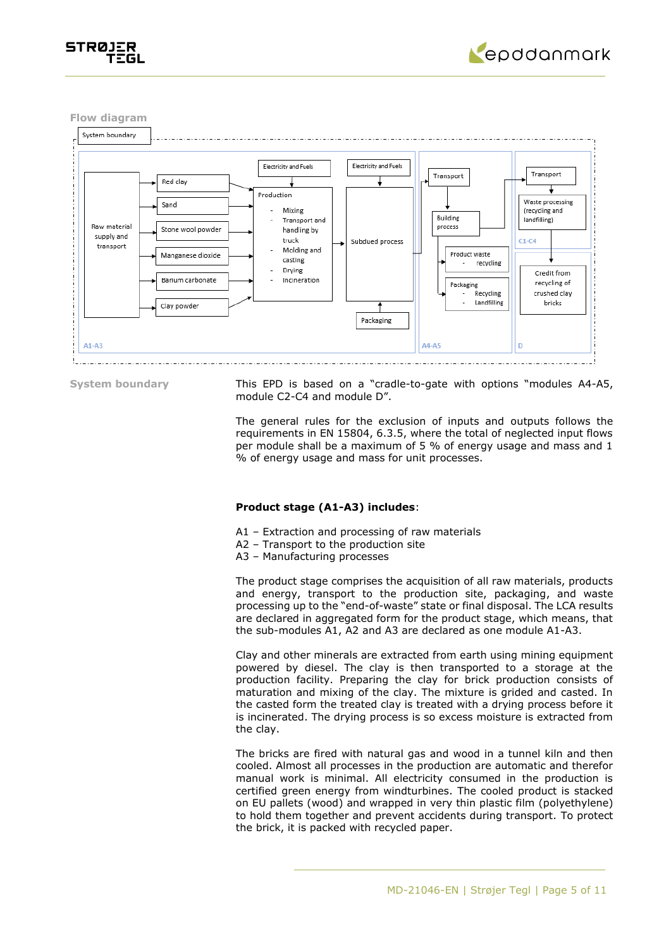



**Flow diagram**



**System boundary** This EPD is based on a "cradle-to-gate with options "modules A4-A5, module C2-C4 and module D".

> The general rules for the exclusion of inputs and outputs follows the requirements in EN 15804, 6.3.5, where the total of neglected input flows per module shall be a maximum of 5 % of energy usage and mass and 1 % of energy usage and mass for unit processes.

## **Product stage (A1-A3) includes**:

- A1 Extraction and processing of raw materials
- A2 Transport to the production site
- A3 Manufacturing processes

The product stage comprises the acquisition of all raw materials, products and energy, transport to the production site, packaging, and waste processing up to the "end-of-waste" state or final disposal. The LCA results are declared in aggregated form for the product stage, which means, that the sub-modules A1, A2 and A3 are declared as one module A1-A3.

Clay and other minerals are extracted from earth using mining equipment powered by diesel. The clay is then transported to a storage at the production facility. Preparing the clay for brick production consists of maturation and mixing of the clay. The mixture is grided and casted. In the casted form the treated clay is treated with a drying process before it is incinerated. The drying process is so excess moisture is extracted from the clay.

The bricks are fired with natural gas and wood in a tunnel kiln and then cooled. Almost all processes in the production are automatic and therefor manual work is minimal. All electricity consumed in the production is certified green energy from windturbines. The cooled product is stacked on EU pallets (wood) and wrapped in very thin plastic film (polyethylene) to hold them together and prevent accidents during transport. To protect the brick, it is packed with recycled paper.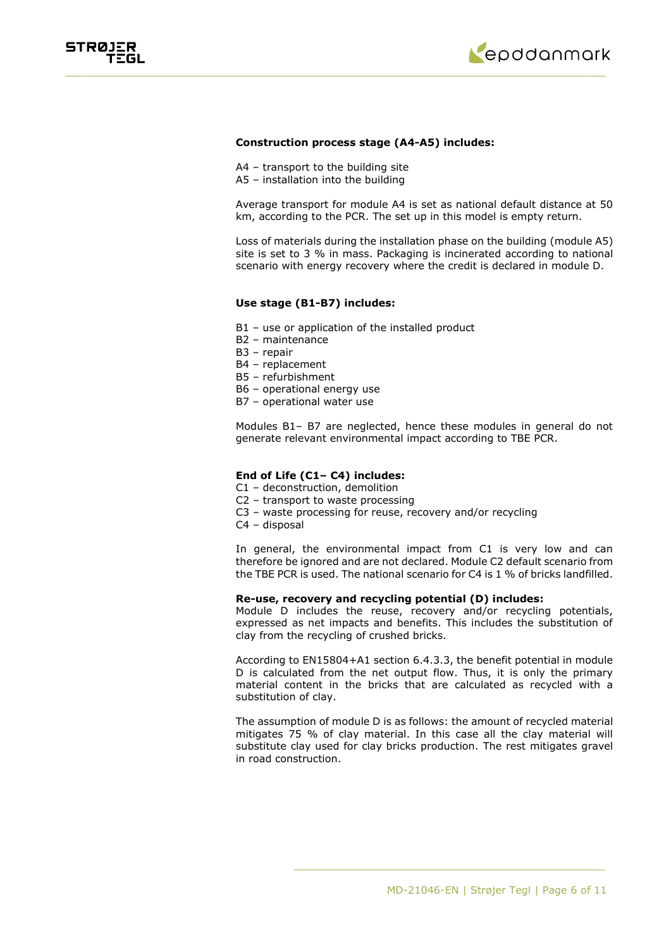



### **Construction process stage (A4-A5) includes:**

- A4 transport to the building site
- A5 installation into the building

Average transport for module A4 is set as national default distance at 50 km, according to the PCR. The set up in this model is empty return.

Loss of materials during the installation phase on the building (module A5) site is set to 3 % in mass. Packaging is incinerated according to national scenario with energy recovery where the credit is declared in module D.

### **Use stage (B1-B7) includes:**

- B1 use or application of the installed product
- B2 maintenance
- B3 repair
- B4 replacement
- B5 refurbishment
- B6 operational energy use
- B7 operational water use

Modules B1– B7 are neglected, hence these modules in general do not generate relevant environmental impact according to TBE PCR.

# **End of Life (C1– C4) includes:**

- C1 deconstruction, demolition
- C2 transport to waste processing
- C3 waste processing for reuse, recovery and/or recycling
- C4 disposal

In general, the environmental impact from C1 is very low and can therefore be ignored and are not declared. Module C2 default scenario from the TBE PCR is used. The national scenario for C4 is 1 % of bricks landfilled.

### **Re-use, recovery and recycling potential (D) includes:**

Module D includes the reuse, recovery and/or recycling potentials, expressed as net impacts and benefits. This includes the substitution of clay from the recycling of crushed bricks.

According to EN15804+A1 section 6.4.3.3, the benefit potential in module D is calculated from the net output flow. Thus, it is only the primary material content in the bricks that are calculated as recycled with a substitution of clay.

The assumption of module D is as follows: the amount of recycled material mitigates 75 % of clay material. In this case all the clay material will substitute clay used for clay bricks production. The rest mitigates gravel in road construction.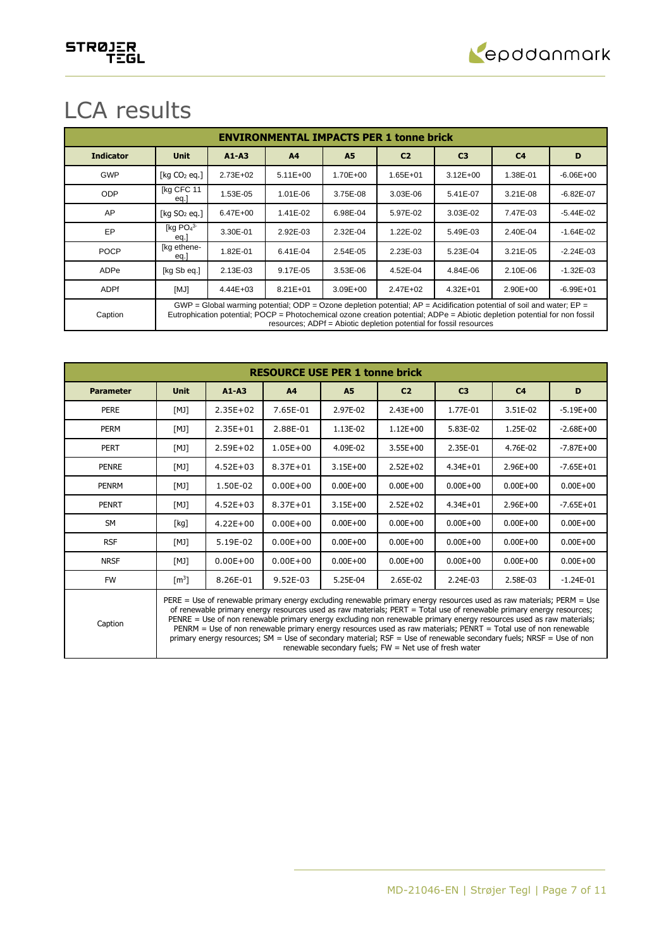

# LCA results

|                  | <b>ENVIRONMENTAL IMPACTS PER 1 tonne brick</b>                                                                                                                                                                                                                                                                                |              |                |              |                |                |                |               |  |  |  |  |
|------------------|-------------------------------------------------------------------------------------------------------------------------------------------------------------------------------------------------------------------------------------------------------------------------------------------------------------------------------|--------------|----------------|--------------|----------------|----------------|----------------|---------------|--|--|--|--|
| <b>Indicator</b> | <b>Unit</b>                                                                                                                                                                                                                                                                                                                   | $A1 - A3$    | A <sub>4</sub> | <b>A5</b>    | C <sub>2</sub> | C <sub>3</sub> | C <sub>4</sub> | D             |  |  |  |  |
| <b>GWP</b>       | [ $kg CO2 eq.]$                                                                                                                                                                                                                                                                                                               | $2.73E + 02$ | $5.11E + 00$   | 1.70E+00     | $1.65E + 01$   | $3.12E + 00$   | 1.38E-01       | $-6.06E + 00$ |  |  |  |  |
| <b>ODP</b>       | [kg CFC 11<br>eq.                                                                                                                                                                                                                                                                                                             | 1.53E-05     | 1.01E-06       | 3.75E-08     | 3.03E-06       | 5.41E-07       | 3.21E-08       | $-6.82E - 07$ |  |  |  |  |
| AP               | [kg $SO2$ eq.]                                                                                                                                                                                                                                                                                                                | 6.47E+00     | 1.41E-02       | 6.98E-04     | 5.97E-02       | 3.03E-02       | 7.47E-03       | $-5.44E - 02$ |  |  |  |  |
| EP               | [kg $PO43$<br>eg.                                                                                                                                                                                                                                                                                                             | 3.30E-01     | 2.92E-03       | 2.32E-04     | 1.22E-02       | 5.49E-03       | 2.40E-04       | $-1.64E - 02$ |  |  |  |  |
| <b>POCP</b>      | [kg ethene-<br>eq.                                                                                                                                                                                                                                                                                                            | 1.82E-01     | 6.41E-04       | 2.54E-05     | 2.23E-03       | 5.23E-04       | 3.21E-05       | $-2.24E - 03$ |  |  |  |  |
| ADPe             | [kg Sb eq.]                                                                                                                                                                                                                                                                                                                   | 2.13E-03     | 9.17E-05       | 3.53E-06     | 4.52E-04       | 4.84E-06       | 2.10E-06       | $-1.32E - 03$ |  |  |  |  |
| <b>ADPf</b>      | [MJ]                                                                                                                                                                                                                                                                                                                          | $4.44E + 03$ | $8.21E + 01$   | $3.09E + 00$ | $2.47E + 02$   | $4.32E + 01$   | $2.90E + 00$   | $-6.99E + 01$ |  |  |  |  |
| Caption          | GWP = Global warming potential; ODP = Ozone depletion potential; $AP =$ Acidification potential of soil and water; $EP =$<br>Eutrophication potential; POCP = Photochemical ozone creation potential; ADPe = Abiotic depletion potential for non fossil<br>resources; ADPf = Abiotic depletion potential for fossil resources |              |                |              |                |                |                |               |  |  |  |  |

| <b>RESOURCE USE PER 1 tonne brick</b> |                                                                                                                                                                                                                                                                                                                                                                                                                                                                                                                                                                                                                                                                            |              |              |              |                |                |                |               |  |  |
|---------------------------------------|----------------------------------------------------------------------------------------------------------------------------------------------------------------------------------------------------------------------------------------------------------------------------------------------------------------------------------------------------------------------------------------------------------------------------------------------------------------------------------------------------------------------------------------------------------------------------------------------------------------------------------------------------------------------------|--------------|--------------|--------------|----------------|----------------|----------------|---------------|--|--|
| <b>Parameter</b>                      | <b>Unit</b>                                                                                                                                                                                                                                                                                                                                                                                                                                                                                                                                                                                                                                                                | $A1 - A3$    | A4           | <b>A5</b>    | C <sub>2</sub> | C <sub>3</sub> | C <sub>4</sub> | D             |  |  |
| PERE                                  | [MJ]                                                                                                                                                                                                                                                                                                                                                                                                                                                                                                                                                                                                                                                                       | $2.35E + 02$ | 7.65E-01     | 2.97E-02     | $2.43E + 00$   | 1.77E-01       | 3.51E-02       | $-5.19E + 00$ |  |  |
| <b>PERM</b>                           | [MJ]                                                                                                                                                                                                                                                                                                                                                                                                                                                                                                                                                                                                                                                                       | $2.35E + 01$ | 2.88E-01     | 1.13E-02     | $1.12E + 00$   | 5.83E-02       | 1.25E-02       | $-2.68E + 00$ |  |  |
| <b>PERT</b>                           | [MJ]                                                                                                                                                                                                                                                                                                                                                                                                                                                                                                                                                                                                                                                                       | $2.59E + 02$ | $1.05E + 00$ | 4.09E-02     | $3.55E + 00$   | 2.35E-01       | 4.76E-02       | $-7.87E + 00$ |  |  |
| <b>PENRE</b>                          | [MJ]                                                                                                                                                                                                                                                                                                                                                                                                                                                                                                                                                                                                                                                                       | $4.52E + 03$ | $8.37E + 01$ | $3.15E + 00$ | $2.52E + 02$   | $4.34E + 01$   | $2.96E + 00$   | $-7.65E + 01$ |  |  |
| <b>PENRM</b>                          | [MJ]                                                                                                                                                                                                                                                                                                                                                                                                                                                                                                                                                                                                                                                                       | 1.50E-02     | $0.00E + 00$ | $0.00E + 00$ | $0.00E + 00$   | $0.00E + 00$   | $0.00E + 00$   | $0.00E + 00$  |  |  |
| <b>PENRT</b>                          | [MJ]                                                                                                                                                                                                                                                                                                                                                                                                                                                                                                                                                                                                                                                                       | $4.52E + 03$ | $8.37E + 01$ | $3.15E + 00$ | $2.52E + 02$   | $4.34E + 01$   | $2.96E + 00$   | $-7.65E + 01$ |  |  |
| <b>SM</b>                             | [kq]                                                                                                                                                                                                                                                                                                                                                                                                                                                                                                                                                                                                                                                                       | $4.22E + 00$ | $0.00E + 00$ | $0.00E + 00$ | $0.00E + 00$   | $0.00E + 00$   | $0.00E + 00$   | $0.00E + 00$  |  |  |
| <b>RSF</b>                            | [MJ]                                                                                                                                                                                                                                                                                                                                                                                                                                                                                                                                                                                                                                                                       | 5.19E-02     | $0.00E + 00$ | $0.00E + 00$ | $0.00E + 00$   | $0.00E + 00$   | $0.00E + 00$   | $0.00E + 00$  |  |  |
| <b>NRSF</b>                           | [MJ]                                                                                                                                                                                                                                                                                                                                                                                                                                                                                                                                                                                                                                                                       | $0.00E + 00$ | $0.00E + 00$ | $0.00E + 00$ | $0.00E + 00$   | $0.00E + 00$   | $0.00E + 00$   | $0.00E + 00$  |  |  |
| <b>FW</b>                             | $\lceil m^3 \rceil$                                                                                                                                                                                                                                                                                                                                                                                                                                                                                                                                                                                                                                                        | 8.26E-01     | $9.52E-03$   | 5.25E-04     | 2.65E-02       | 2.24E-03       | 2.58E-03       | $-1.24E-01$   |  |  |
| Caption                               | PERE = Use of renewable primary energy excluding renewable primary energy resources used as raw materials; PERM = Use<br>of renewable primary energy resources used as raw materials; PERT = Total use of renewable primary energy resources;<br>PENRE = Use of non renewable primary energy excluding non renewable primary energy resources used as raw materials;<br>PENRM = Use of non renewable primary energy resources used as raw materials; PENRT = Total use of non renewable<br>primary energy resources; SM = Use of secondary material; RSF = Use of renewable secondary fuels; NRSF = Use of non<br>renewable secondary fuels; $FW = Net$ use of fresh water |              |              |              |                |                |                |               |  |  |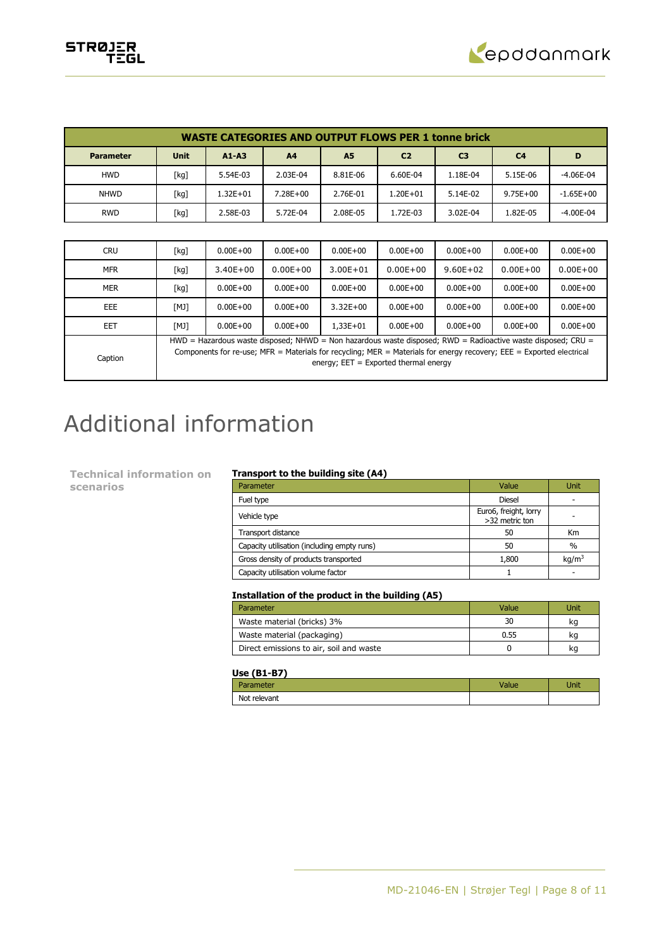

| <b>WASTE CATEGORIES AND OUTPUT FLOWS PER 1 tonne brick</b> |             |           |                |                |                |                |                |               |  |  |
|------------------------------------------------------------|-------------|-----------|----------------|----------------|----------------|----------------|----------------|---------------|--|--|
| <b>Parameter</b>                                           | <b>Unit</b> | $A1 - A3$ | A <sub>4</sub> | A <sub>5</sub> | C <sub>2</sub> | C <sub>3</sub> | C <sub>4</sub> | D             |  |  |
| <b>HWD</b>                                                 | [kg]        | 5.54E-03  | 2.03E-04       | 8.81E-06       | 6.60E-04       | 1.18E-04       | 5.15E-06       | $-4.06E-04$   |  |  |
| <b>NHWD</b>                                                | [kg]        | 1.32E+01  | 7.28E+00       | 2.76E-01       | $1.20E + 01$   | 5.14E-02       | $9.75E + 00$   | $-1.65E + 00$ |  |  |
| <b>RWD</b>                                                 | [kg]        | 2.58E-03  | 5.72E-04       | 2.08E-05       | 1.72E-03       | 3.02E-04       | 1.82E-05       | $-4.00E-04$   |  |  |
|                                                            |             |           |                |                |                |                |                |               |  |  |

| <b>CRU</b> | [kg] | $0.00E + 00$                                                                                                                                                                                                                                                                      | $0.00E + 00$ | $0.00E + 00$ | $0.00E + 00$ | $0.00E + 00$ | $0.00E + 00$ | $0.00E + 00$ |
|------------|------|-----------------------------------------------------------------------------------------------------------------------------------------------------------------------------------------------------------------------------------------------------------------------------------|--------------|--------------|--------------|--------------|--------------|--------------|
| <b>MFR</b> | [kg] | $3.40E + 00$                                                                                                                                                                                                                                                                      | $0.00E + 00$ | $3.00E + 01$ | $0.00E + 00$ | $9.60E + 02$ | $0.00E + 00$ | $0.00E + 00$ |
| <b>MER</b> | [kg] | $0.00E + 00$                                                                                                                                                                                                                                                                      | $0.00E + 00$ | $0.00E + 00$ | $0.00E + 00$ | $0.00E + 00$ | $0.00E + 00$ | $0.00E + 00$ |
| <b>EEE</b> | [MJ] | $0.00E + 00$                                                                                                                                                                                                                                                                      | $0.00E + 00$ | $3.32E + 00$ | $0.00E + 00$ | $0.00E + 00$ | $0.00E + 00$ | $0.00E + 00$ |
| EET        | [MJ] | $0.00E + 00$                                                                                                                                                                                                                                                                      | $0.00E + 00$ | $1.33E + 01$ | $0.00E + 00$ | $0.00E + 00$ | $0.00E + 00$ | $0.00E + 00$ |
| Caption    |      | $HWD =$ Hazardous waste disposed; NHWD = Non hazardous waste disposed; RWD = Radioactive waste disposed; CRU =<br>Components for re-use; MFR = Materials for recycling; MER = Materials for energy recovery; EEE = Exported electrical<br>energy; $EET = Exported thermal energy$ |              |              |              |              |              |              |

# Additional information

**Technical information on scenarios**

### **Transport to the building site (A4)**

| Parameter                                   | Value                                   | Unit              |
|---------------------------------------------|-----------------------------------------|-------------------|
| Fuel type                                   | <b>Diesel</b>                           |                   |
| Vehicle type                                | Euro6, freight, lorry<br>>32 metric ton |                   |
| Transport distance                          | 50                                      | Km                |
| Capacity utilisation (including empty runs) | 50                                      | $\frac{0}{0}$     |
| Gross density of products transported       | 1,800                                   | kq/m <sup>3</sup> |
| Capacity utilisation volume factor          |                                         |                   |

## **Installation of the product in the building (A5)**

| Parameter                               | Value | Unit |
|-----------------------------------------|-------|------|
| Waste material (bricks) 3%              | 30    | kq   |
| Waste material (packaging)              | 0.55  | kq   |
| Direct emissions to air, soil and waste |       | ĸq   |

### **Use (B1-B7)**

| arameter     | <b>Value</b> | Unit |
|--------------|--------------|------|
| Not relevant |              |      |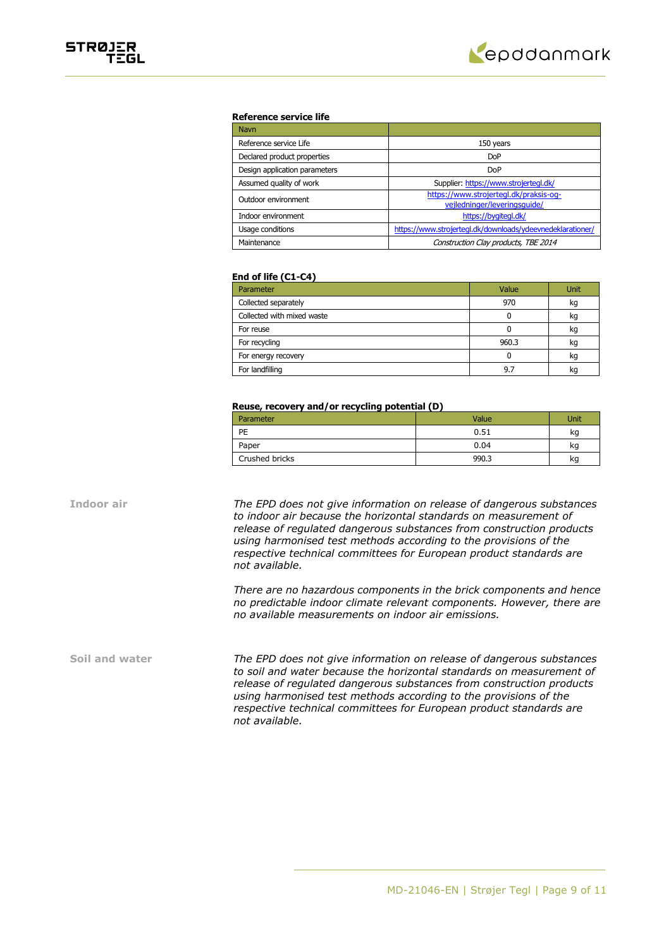

### **Reference service life**

| <b>Navn</b>                   |                                                                        |
|-------------------------------|------------------------------------------------------------------------|
| Reference service Life        | 150 years                                                              |
| Declared product properties   | <b>DoP</b>                                                             |
| Design application parameters | <b>DoP</b>                                                             |
| Assumed quality of work       | Supplier: https://www.strojertegl.dk/                                  |
| Outdoor environment           | https://www.strojertegl.dk/praksis-og-<br>vejledninger/leveringsquide/ |
| Indoor environment            | https://bygitegl.dk/                                                   |
| Usage conditions              | https://www.strojertegl.dk/downloads/ydeevnedeklarationer/             |
| Maintenance                   | Construction Clay products, TBE 2014                                   |

### **End of life (C1-C4)**

| Parameter                  | Value | Unit |
|----------------------------|-------|------|
| Collected separately       | 970   | kg   |
| Collected with mixed waste |       | kg   |
| For reuse                  |       | kg   |
| For recycling              | 960.3 | kg   |
| For energy recovery        |       | kg   |
| For landfilling            | 9.7   | kq   |

### **Reuse, recovery and/or recycling potential (D)**

| Parameter      | Value | Unit |
|----------------|-------|------|
| PE             | 0.51  | kg   |
| Paper          | 0.04  | kg   |
| Crushed bricks | 990.3 | κq   |

**Indoor air** *The EPD does not give information on release of dangerous substances to indoor air because the horizontal standards on measurement of release of regulated dangerous substances from construction products using harmonised test methods according to the provisions of the respective technical committees for European product standards are not available.*

> *There are no hazardous components in the brick components and hence no predictable indoor climate relevant components. However, there are no available measurements on indoor air emissions.*

**Soil and water** *The EPD does not give information on release of dangerous substances to soil and water because the horizontal standards on measurement of release of regulated dangerous substances from construction products using harmonised test methods according to the provisions of the respective technical committees for European product standards are not available.*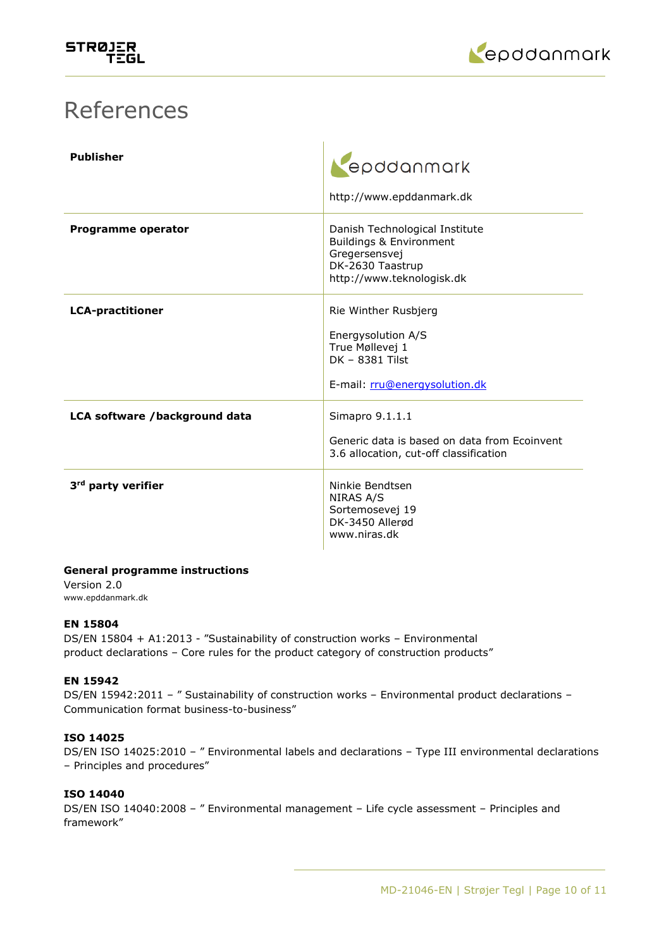

# References

| <b>Publisher</b>               | epddanmark<br>http://www.epddanmark.dk                                                                                      |
|--------------------------------|-----------------------------------------------------------------------------------------------------------------------------|
| <b>Programme operator</b>      | Danish Technological Institute<br>Buildings & Environment<br>Gregersensvej<br>DK-2630 Taastrup<br>http://www.teknologisk.dk |
| <b>LCA-practitioner</b>        | Rie Winther Rusbjerg<br>Energysolution A/S<br>True Møllevej 1<br>DK - 8381 Tilst<br>E-mail: rru@energysolution.dk           |
| LCA software /background data  | Simapro 9.1.1.1<br>Generic data is based on data from Ecoinvent<br>3.6 allocation, cut-off classification                   |
| 3 <sup>rd</sup> party verifier | Ninkie Bendtsen<br>NIRAS A/S<br>Sortemosevej 19<br>DK-3450 Allerød<br>www.niras.dk                                          |

# **General programme instructions**

Version 2.0 www.epddanmark.dk

# **EN 15804**

DS/EN 15804 + A1:2013 - "Sustainability of construction works – Environmental product declarations – Core rules for the product category of construction products"

# **EN 15942**

DS/EN 15942:2011 - " Sustainability of construction works - Environmental product declarations -Communication format business-to-business"

# **ISO 14025**

DS/EN ISO 14025:2010 – " Environmental labels and declarations – Type III environmental declarations – Principles and procedures"

# **ISO 14040**

DS/EN ISO 14040:2008 – " Environmental management – Life cycle assessment – Principles and framework"